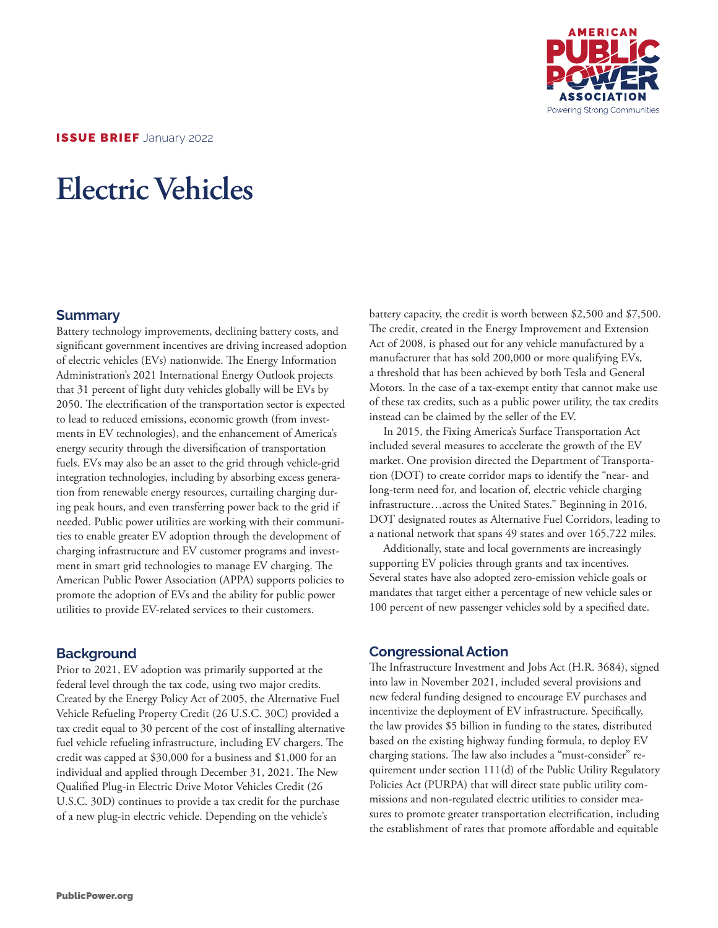

ISSUE BRIEF January 2022

# **Electric Vehicles**

### **Summary**

Battery technology improvements, declining battery costs, and significant government incentives are driving increased adoption of electric vehicles (EVs) nationwide. The Energy Information Administration's 2021 International Energy Outlook projects that 31 percent of light duty vehicles globally will be EVs by 2050. The electrification of the transportation sector is expected to lead to reduced emissions, economic growth (from investments in EV technologies), and the enhancement of America's energy security through the diversification of transportation fuels. EVs may also be an asset to the grid through vehicle-grid integration technologies, including by absorbing excess generation from renewable energy resources, curtailing charging during peak hours, and even transferring power back to the grid if needed. Public power utilities are working with their communities to enable greater EV adoption through the development of charging infrastructure and EV customer programs and investment in smart grid technologies to manage EV charging. The American Public Power Association (APPA) supports policies to promote the adoption of EVs and the ability for public power utilities to provide EV-related services to their customers.

# **Background**

Prior to 2021, EV adoption was primarily supported at the federal level through the tax code, using two major credits. Created by the Energy Policy Act of 2005, the Alternative Fuel Vehicle Refueling Property Credit (26 U.S.C. 30C) provided a tax credit equal to 30 percent of the cost of installing alternative fuel vehicle refueling infrastructure, including EV chargers. The credit was capped at \$30,000 for a business and \$1,000 for an individual and applied through December 31, 2021. The New Qualified Plug-in Electric Drive Motor Vehicles Credit (26 U.S.C. 30D) continues to provide a tax credit for the purchase of a new plug-in electric vehicle. Depending on the vehicle's

battery capacity, the credit is worth between \$2,500 and \$7,500. The credit, created in the Energy Improvement and Extension Act of 2008, is phased out for any vehicle manufactured by a manufacturer that has sold 200,000 or more qualifying EVs, a threshold that has been achieved by both Tesla and General Motors. In the case of a tax-exempt entity that cannot make use of these tax credits, such as a public power utility, the tax credits instead can be claimed by the seller of the EV.

In 2015, the Fixing America's Surface Transportation Act included several measures to accelerate the growth of the EV market. One provision directed the Department of Transportation (DOT) to create corridor maps to identify the "near- and long-term need for, and location of, electric vehicle charging infrastructure…across the United States." Beginning in 2016, DOT designated routes as Alternative Fuel Corridors, leading to a national network that spans 49 states and over 165,722 miles.

Additionally, state and local governments are increasingly supporting EV policies through grants and tax incentives. Several states have also adopted zero-emission vehicle goals or mandates that target either a percentage of new vehicle sales or 100 percent of new passenger vehicles sold by a specified date.

# **Congressional Action**

The Infrastructure Investment and Jobs Act (H.R. 3684), signed into law in November 2021, included several provisions and new federal funding designed to encourage EV purchases and incentivize the deployment of EV infrastructure. Specifically, the law provides \$5 billion in funding to the states, distributed based on the existing highway funding formula, to deploy EV charging stations. The law also includes a "must-consider" requirement under section 111(d) of the Public Utility Regulatory Policies Act (PURPA) that will direct state public utility commissions and non-regulated electric utilities to consider measures to promote greater transportation electrification, including the establishment of rates that promote affordable and equitable